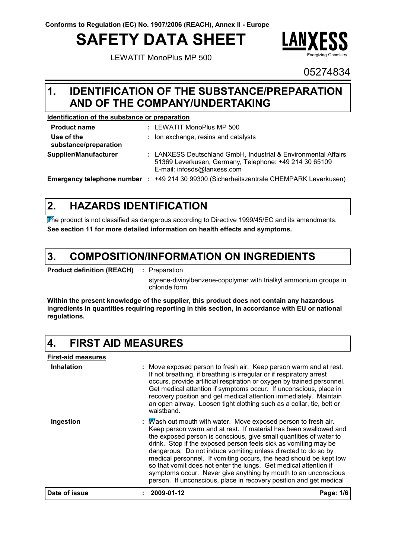# **SAFETY DATA SHEET**

LEWATIT MonoPlus MP 500



05274834

#### **IDENTIFICATION OF THE SUBSTANCE/PREPARATION AND OF THE COMPANY/UNDERTAKING 1.**

#### **Identification of the substance or preparation**

| <b>Product name</b>                 | : LEWATIT MonoPlus MP 500                                                                                                                               |
|-------------------------------------|---------------------------------------------------------------------------------------------------------------------------------------------------------|
| Use of the<br>substance/preparation | : Ion exchange, resins and catalysts                                                                                                                    |
| Supplier/Manufacturer               | : LANXESS Deutschland GmbH, Industrial & Environmental Affairs<br>51369 Leverkusen, Germany, Telephone: +49 214 30 65109<br>E-mail: infosds@lanxess.com |
| Emergency telephone number :        | +49 214 30 99300 (Sicherheitszentrale CHEMPARK Leverkusen)                                                                                              |

#### **HAZARDS IDENTIFICATION 2.**

The product is not classified as dangerous according to Directive 1999/45/EC and its amendments. **See section 11 for more detailed information on health effects and symptoms.**

#### **COMPOSITION/INFORMATION ON INGREDIENTS 3.**

**Product definition (REACH) :** : Preparation

styrene-divinylbenzene-copolymer with trialkyl ammonium groups in chloride form

**Within the present knowledge of the supplier, this product does not contain any hazardous ingredients in quantities requiring reporting in this section, in accordance with EU or national regulations.**

#### **4. FIRST AID MEASURES**

| Date of issue             | 2009-01-12                                                                                                                                                                                                                                                                                                                                                                                                                                                                                                                                                                                                                        | Page: 1/6 |
|---------------------------|-----------------------------------------------------------------------------------------------------------------------------------------------------------------------------------------------------------------------------------------------------------------------------------------------------------------------------------------------------------------------------------------------------------------------------------------------------------------------------------------------------------------------------------------------------------------------------------------------------------------------------------|-----------|
| Ingestion                 | : $M$ ash out mouth with water. Move exposed person to fresh air.<br>Keep person warm and at rest. If material has been swallowed and<br>the exposed person is conscious, give small quantities of water to<br>drink. Stop if the exposed person feels sick as vomiting may be<br>dangerous. Do not induce vomiting unless directed to do so by<br>medical personnel. If vomiting occurs, the head should be kept low<br>so that vomit does not enter the lungs. Get medical attention if<br>symptoms occur. Never give anything by mouth to an unconscious<br>person. If unconscious, place in recovery position and get medical |           |
| <b>Inhalation</b>         | : Move exposed person to fresh air. Keep person warm and at rest.<br>If not breathing, if breathing is irregular or if respiratory arrest<br>occurs, provide artificial respiration or oxygen by trained personnel.<br>Get medical attention if symptoms occur. If unconscious, place in<br>recovery position and get medical attention immediately. Maintain<br>an open airway. Loosen tight clothing such as a collar, tie, belt or<br>waistband.                                                                                                                                                                               |           |
| <b>First-aid measures</b> |                                                                                                                                                                                                                                                                                                                                                                                                                                                                                                                                                                                                                                   |           |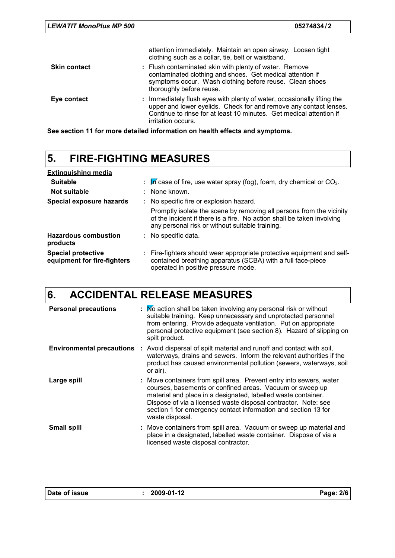|                     | attention immediately. Maintain an open airway. Loosen tight<br>clothing such as a collar, tie, belt or waistband.                                                                                                                               |
|---------------------|--------------------------------------------------------------------------------------------------------------------------------------------------------------------------------------------------------------------------------------------------|
| <b>Skin contact</b> | : Flush contaminated skin with plenty of water. Remove<br>contaminated clothing and shoes. Get medical attention if<br>symptoms occur. Wash clothing before reuse. Clean shoes<br>thoroughly before reuse.                                       |
| Eye contact         | : Immediately flush eyes with plenty of water, occasionally lifting the<br>upper and lower eyelids. Check for and remove any contact lenses.<br>Continue to rinse for at least 10 minutes. Get medical attention if<br><i>irritation occurs.</i> |

**See section 11 for more detailed information on health effects and symptoms.**

### **5. FIRE-FIGHTING MEASURES**

| <b>Extinguishing media</b>                               |                                                                                                                                                                                                   |
|----------------------------------------------------------|---------------------------------------------------------------------------------------------------------------------------------------------------------------------------------------------------|
| <b>Suitable</b>                                          | $\therefore$ M case of fire, use water spray (fog), foam, dry chemical or CO <sub>2</sub> .                                                                                                       |
| Not suitable                                             | $:$ None known.                                                                                                                                                                                   |
| Special exposure hazards                                 | : No specific fire or explosion hazard.                                                                                                                                                           |
|                                                          | Promptly isolate the scene by removing all persons from the vicinity<br>of the incident if there is a fire. No action shall be taken involving<br>any personal risk or without suitable training. |
| <b>Hazardous combustion</b><br>products                  | : No specific data.                                                                                                                                                                               |
| <b>Special protective</b><br>equipment for fire-fighters | : Fire-fighters should wear appropriate protective equipment and self-<br>contained breathing apparatus (SCBA) with a full face-piece<br>operated in positive pressure mode.                      |

# **6. ACCIDENTAL RELEASE MEASURES**

| <b>Personal precautions</b> | : Mo action shall be taken involving any personal risk or without<br>suitable training. Keep unnecessary and unprotected personnel<br>from entering. Provide adequate ventilation. Put on appropriate<br>personal protective equipment (see section 8). Hazard of slipping on<br>spilt product.                                                         |
|-----------------------------|---------------------------------------------------------------------------------------------------------------------------------------------------------------------------------------------------------------------------------------------------------------------------------------------------------------------------------------------------------|
|                             | <b>Environmental precautions</b> : Avoid dispersal of spilt material and runoff and contact with soil,<br>waterways, drains and sewers. Inform the relevant authorities if the<br>product has caused environmental pollution (sewers, waterways, soil<br>or air).                                                                                       |
| Large spill                 | : Move containers from spill area. Prevent entry into sewers, water<br>courses, basements or confined areas. Vacuum or sweep up<br>material and place in a designated, labelled waste container.<br>Dispose of via a licensed waste disposal contractor. Note: see<br>section 1 for emergency contact information and section 13 for<br>waste disposal. |
| <b>Small spill</b>          | : Move containers from spill area. Vacuum or sweep up material and<br>place in a designated, labelled waste container. Dispose of via a<br>licensed waste disposal contractor.                                                                                                                                                                          |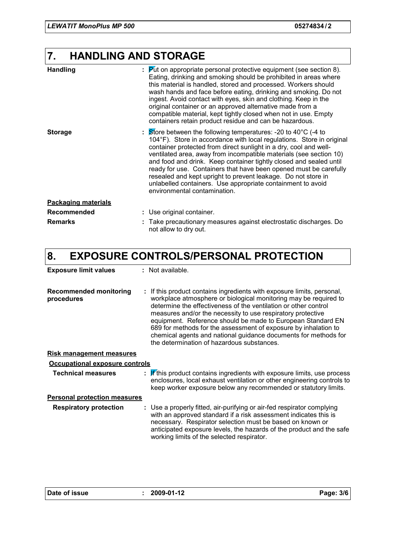# **7. HANDLING AND STORAGE**

| <b>Handling</b>            | $\therefore$ Put on appropriate personal protective equipment (see section 8).<br>Eating, drinking and smoking should be prohibited in areas where<br>this material is handled, stored and processed. Workers should<br>wash hands and face before eating, drinking and smoking. Do not<br>ingest. Avoid contact with eyes, skin and clothing. Keep in the<br>original container or an approved alternative made from a<br>compatible material, kept tightly closed when not in use. Empty<br>containers retain product residue and can be hazardous.                                                     |
|----------------------------|-----------------------------------------------------------------------------------------------------------------------------------------------------------------------------------------------------------------------------------------------------------------------------------------------------------------------------------------------------------------------------------------------------------------------------------------------------------------------------------------------------------------------------------------------------------------------------------------------------------|
| <b>Storage</b>             | $\therefore$ Store between the following temperatures: -20 to 40 °C (-4 to<br>104°F). Store in accordance with local regulations. Store in original<br>container protected from direct sunlight in a dry, cool and well-<br>ventilated area, away from incompatible materials (see section 10)<br>and food and drink. Keep container tightly closed and sealed until<br>ready for use. Containers that have been opened must be carefully<br>resealed and kept upright to prevent leakage. Do not store in<br>unlabelled containers. Use appropriate containment to avoid<br>environmental contamination. |
| <b>Packaging materials</b> |                                                                                                                                                                                                                                                                                                                                                                                                                                                                                                                                                                                                           |
| <b>Recommended</b>         | : Use original container.                                                                                                                                                                                                                                                                                                                                                                                                                                                                                                                                                                                 |
| <b>Remarks</b>             | : Take precautionary measures against electrostatic discharges. Do<br>not allow to dry out.                                                                                                                                                                                                                                                                                                                                                                                                                                                                                                               |

# **8. EXPOSURE CONTROLS/PERSONAL PROTECTION**

| <b>Exposure limit values</b>                | : Not available.                                                                                                                                                                                                                                                                                                                                                                                                                                                                                                                |
|---------------------------------------------|---------------------------------------------------------------------------------------------------------------------------------------------------------------------------------------------------------------------------------------------------------------------------------------------------------------------------------------------------------------------------------------------------------------------------------------------------------------------------------------------------------------------------------|
| <b>Recommended monitoring</b><br>procedures | : If this product contains ingredients with exposure limits, personal,<br>workplace atmosphere or biological monitoring may be required to<br>determine the effectiveness of the ventilation or other control<br>measures and/or the necessity to use respiratory protective<br>equipment. Reference should be made to European Standard EN<br>689 for methods for the assessment of exposure by inhalation to<br>chemical agents and national guidance documents for methods for<br>the determination of hazardous substances. |
| <b>Risk management measures</b>             |                                                                                                                                                                                                                                                                                                                                                                                                                                                                                                                                 |
| Occupational exposure controls              |                                                                                                                                                                                                                                                                                                                                                                                                                                                                                                                                 |
| <b>Technical measures</b>                   | $\mathbf{F}$ / $\mathbf{F}$ this product contains ingredients with exposure limits, use process<br>enclosures, local exhaust ventilation or other engineering controls to<br>keep worker exposure below any recommended or statutory limits.                                                                                                                                                                                                                                                                                    |
| <b>Personal protection measures</b>         |                                                                                                                                                                                                                                                                                                                                                                                                                                                                                                                                 |
| <b>Respiratory protection</b>               | : Use a properly fitted, air-purifying or air-fed respirator complying<br>with an approved standard if a risk assessment indicates this is<br>necessary. Respirator selection must be based on known or<br>anticipated exposure levels, the hazards of the product and the safe<br>working limits of the selected respirator.                                                                                                                                                                                                   |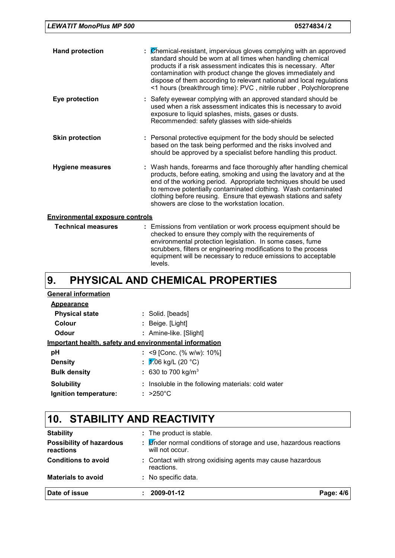| <b>Hand protection</b>                 | $\mathcal{L}$ Chemical-resistant, impervious gloves complying with an approved<br>standard should be worn at all times when handling chemical<br>products if a risk assessment indicates this is necessary. After<br>contamination with product change the gloves immediately and<br>dispose of them according to relevant national and local regulations<br><1 hours (breakthrough time): PVC, nitrile rubber, Polychloroprene |
|----------------------------------------|---------------------------------------------------------------------------------------------------------------------------------------------------------------------------------------------------------------------------------------------------------------------------------------------------------------------------------------------------------------------------------------------------------------------------------|
| Eye protection                         | : Safety eyewear complying with an approved standard should be<br>used when a risk assessment indicates this is necessary to avoid<br>exposure to liquid splashes, mists, gases or dusts.<br>Recommended: safety glasses with side-shields                                                                                                                                                                                      |
| <b>Skin protection</b>                 | : Personal protective equipment for the body should be selected<br>based on the task being performed and the risks involved and<br>should be approved by a specialist before handling this product.                                                                                                                                                                                                                             |
| <b>Hygiene measures</b>                | : Wash hands, forearms and face thoroughly after handling chemical<br>products, before eating, smoking and using the lavatory and at the<br>end of the working period. Appropriate techniques should be used<br>to remove potentially contaminated clothing. Wash contaminated<br>clothing before reusing. Ensure that eyewash stations and safety<br>showers are close to the workstation location.                            |
| <b>Environmental exposure controls</b> |                                                                                                                                                                                                                                                                                                                                                                                                                                 |
| <b>Technical measures</b>              | : Emissions from ventilation or work process equipment should be<br>checked to ensure they comply with the requirements of<br>environmental protection legislation. In some cases, fume                                                                                                                                                                                                                                         |

scrubbers, filters or engineering modifications to the process equipment will be necessary to reduce emissions to acceptable

#### **PHYSICAL AND CHEMICAL PROPERTIES 9.**

levels.

| <b>General information</b>                             |                                                    |
|--------------------------------------------------------|----------------------------------------------------|
| Appearance                                             |                                                    |
| <b>Physical state</b>                                  | : Solid. [beads]                                   |
| Colour                                                 | $:$ Beige. [Light]                                 |
| Odour                                                  | : Amine-like. [Slight]                             |
| Important health, safety and environmental information |                                                    |
| рH                                                     | : <9 [Conc. (% w/w): $10\%$ ]                      |
| <b>Density</b>                                         | : $\sqrt{2.06}$ kg/L (20 °C)                       |
| <b>Bulk density</b>                                    | : 630 to 700 kg/m <sup>3</sup>                     |
| <b>Solubility</b>                                      | : Insoluble in the following materials: cold water |
| Ignition temperature:                                  | $: >250^{\circ}$ C                                 |

## **10. STABILITY AND REACTIVITY**

| Date of issue                                | 2009-01-12                                                                                   | Page: 4/6 |
|----------------------------------------------|----------------------------------------------------------------------------------------------|-----------|
| <b>Materials to avoid</b>                    | : No specific data.                                                                          |           |
| <b>Conditions to avoid</b>                   | : Contact with strong oxidising agents may cause hazardous<br>reactions.                     |           |
| <b>Possibility of hazardous</b><br>reactions | : <i>Under normal conditions of storage and use</i> , hazardous reactions<br>will not occur. |           |
| <b>Stability</b>                             | : The product is stable.                                                                     |           |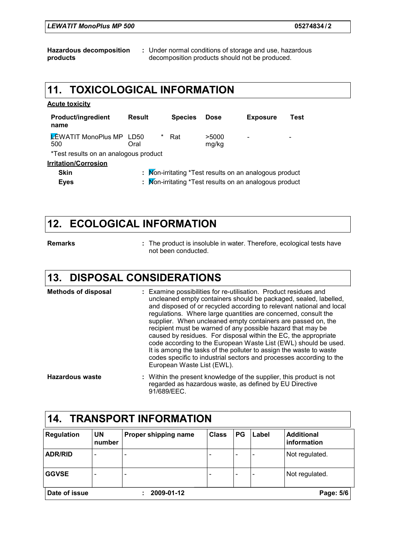**Hazardous decomposition products :** Under normal conditions of storage and use, hazardous decomposition products should not be produced.

#### **11. TOXICOLOGICAL INFORMATION**

| <b>Acute toxicity</b>                 |                |                |                |                                                        |      |
|---------------------------------------|----------------|----------------|----------------|--------------------------------------------------------|------|
| <b>Product/ingredient</b><br>name     | <b>Result</b>  | <b>Species</b> | <b>Dose</b>    | <b>Exposure</b>                                        | Test |
| <b>EWATIT MonoPlus MP LD50</b><br>500 | $\ast$<br>Oral | Rat            | >5000<br>mg/kg |                                                        |      |
| *Test results on an analogous product |                |                |                |                                                        |      |
| <b>Irritation/Corrosion</b>           |                |                |                |                                                        |      |
| <b>Skin</b>                           |                |                |                | : Mon-irritating *Test results on an analogous product |      |
| Eyes                                  |                |                |                | : Mon-irritating *Test results on an analogous product |      |

#### **12. ECOLOGICAL INFORMATION**

**Remarks :**

The product is insoluble in water. Therefore, ecological tests have not been conducted.

#### **13. DISPOSAL CONSIDERATIONS**

**Methods of disposal :** Examine possibilities for re-utilisation. Product residues and uncleaned empty containers should be packaged, sealed, labelled, and disposed of or recycled according to relevant national and local regulations. Where large quantities are concerned, consult the supplier. When uncleaned empty containers are passed on, the recipient must be warned of any possible hazard that may be caused by residues. For disposal within the EC, the appropriate code according to the European Waste List (EWL) should be used. It is among the tasks of the polluter to assign the waste to waste codes specific to industrial sectors and processes according to the European Waste List (EWL).

Within the present knowledge of the supplier, this product is not regarded as hazardous waste, as defined by EU Directive 91/689/EEC. **Hazardous waste :**

### **14. TRANSPORT INFORMATION**

| <b>Regulation</b> | <b>UN</b><br>number | Proper shipping name         | <b>Class</b> | <b>PG</b>                | Label                    | <b>Additional</b><br>  information |
|-------------------|---------------------|------------------------------|--------------|--------------------------|--------------------------|------------------------------------|
| <b>ADR/RID</b>    |                     | $\qquad \qquad \blacksquare$ |              | $\overline{\phantom{0}}$ | $\overline{\phantom{a}}$ | Not regulated.                     |
| <b>GGVSE</b>      |                     | $\overline{\phantom{a}}$     |              | $\overline{\phantom{a}}$ | $\overline{\phantom{0}}$ | Not regulated.                     |
| Date of issue     |                     | 2009-01-12                   |              |                          |                          | Page: 5/6                          |